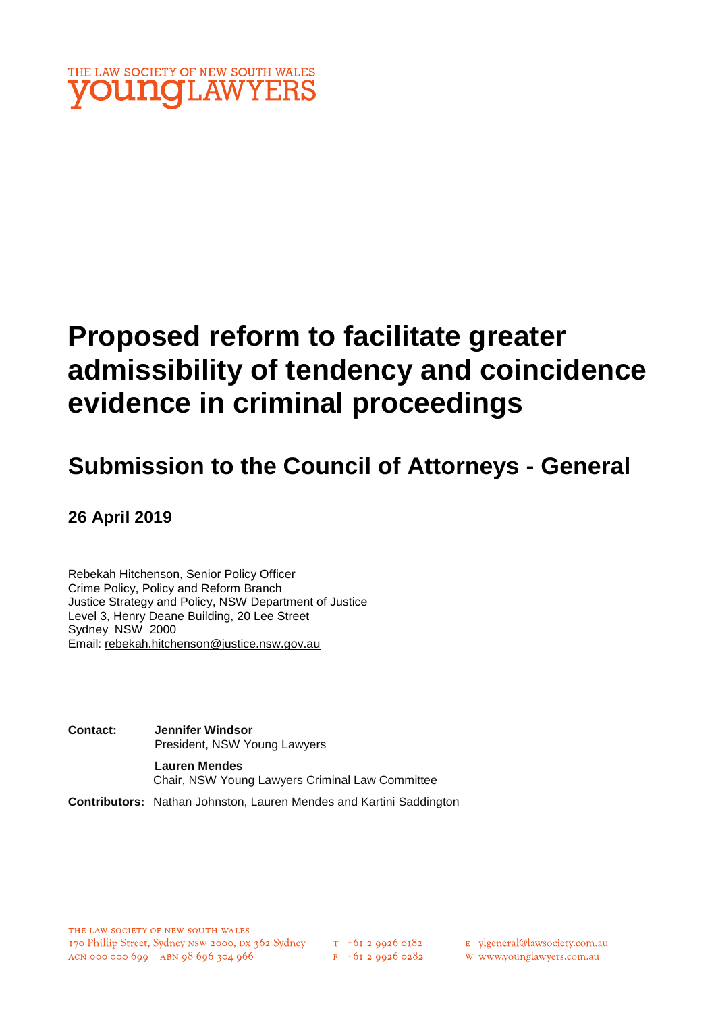

# **Proposed reform to facilitate greater admissibility of tendency and coincidence evidence in criminal proceedings**

# **Submission to the Council of Attorneys - General**

**26 April 2019** 

Rebekah Hitchenson, Senior Policy Officer Crime Policy, Policy and Reform Branch Justice Strategy and Policy, NSW Department of Justice Level 3, Henry Deane Building, 20 Lee Street Sydney NSW 2000 Email: rebekah.hitchenson@justice.nsw.gov.au

**Contact: Jennifer Windsor**  President, NSW Young Lawyers

> **Lauren Mendes** Chair, NSW Young Lawyers Criminal Law Committee

**Contributors:** Nathan Johnston, Lauren Mendes and Kartini Saddington

E vlgeneral@lawsociety.com.au

w www.younglawyers.com.au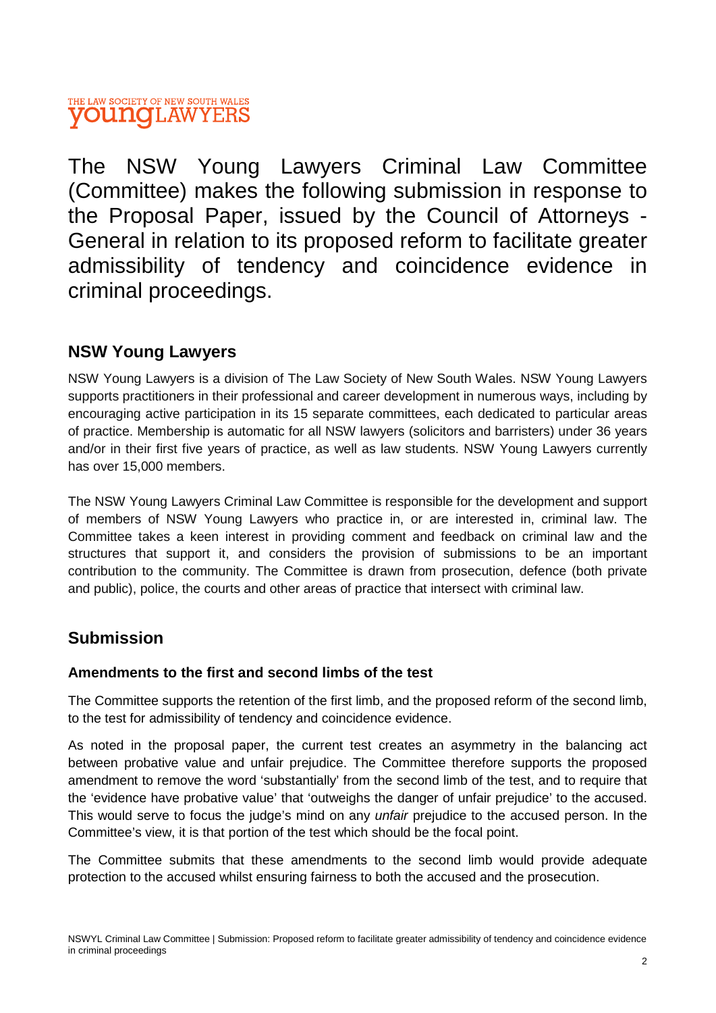### THE LAW SOCIETY OF NEW SOUTH WALES **OUNGLAWYERS**

The NSW Young Lawyers Criminal Law Committee (Committee) makes the following submission in response to the Proposal Paper, issued by the Council of Attorneys - General in relation to its proposed reform to facilitate greater admissibility of tendency and coincidence evidence in criminal proceedings.

## **NSW Young Lawyers**

NSW Young Lawyers is a division of The Law Society of New South Wales. NSW Young Lawyers supports practitioners in their professional and career development in numerous ways, including by encouraging active participation in its 15 separate committees, each dedicated to particular areas of practice. Membership is automatic for all NSW lawyers (solicitors and barristers) under 36 years and/or in their first five years of practice, as well as law students. NSW Young Lawyers currently has over 15,000 members.

The NSW Young Lawyers Criminal Law Committee is responsible for the development and support of members of NSW Young Lawyers who practice in, or are interested in, criminal law. The Committee takes a keen interest in providing comment and feedback on criminal law and the structures that support it, and considers the provision of submissions to be an important contribution to the community. The Committee is drawn from prosecution, defence (both private and public), police, the courts and other areas of practice that intersect with criminal law.

# **Submission**

#### **Amendments to the first and second limbs of the test**

The Committee supports the retention of the first limb, and the proposed reform of the second limb, to the test for admissibility of tendency and coincidence evidence.

As noted in the proposal paper, the current test creates an asymmetry in the balancing act between probative value and unfair prejudice. The Committee therefore supports the proposed amendment to remove the word 'substantially' from the second limb of the test, and to require that the 'evidence have probative value' that 'outweighs the danger of unfair prejudice' to the accused. This would serve to focus the judge's mind on any *unfair* prejudice to the accused person. In the Committee's view, it is that portion of the test which should be the focal point.

The Committee submits that these amendments to the second limb would provide adequate protection to the accused whilst ensuring fairness to both the accused and the prosecution.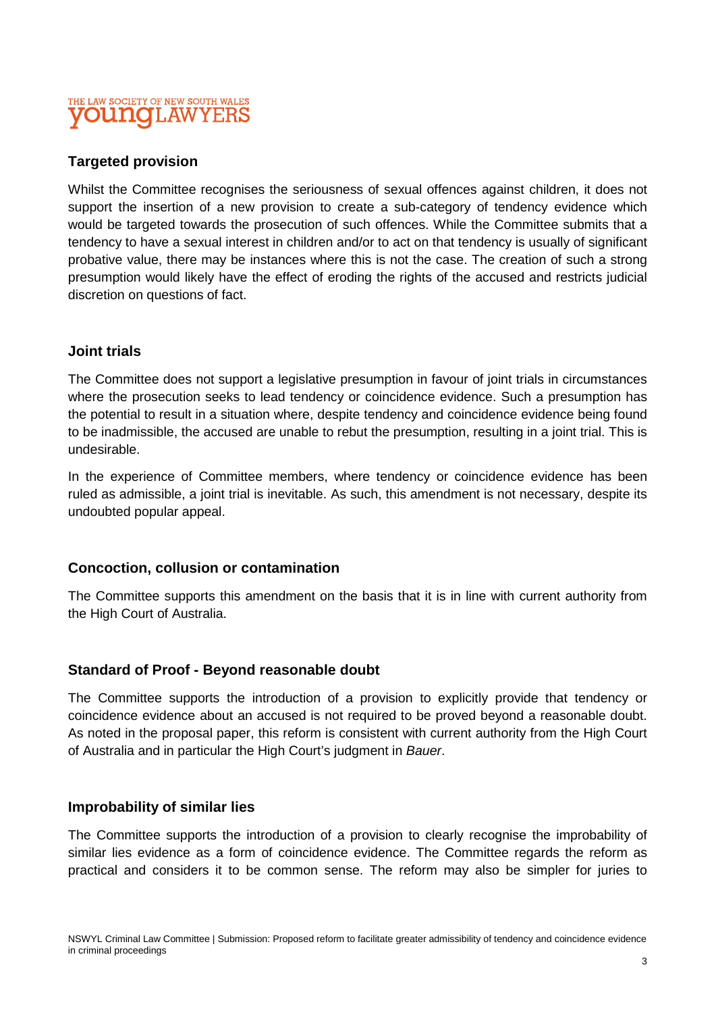#### THE LAW SOCIETY OF NEW SOUTH WALES **INQLAWYE**

#### **Targeted provision**

Whilst the Committee recognises the seriousness of sexual offences against children, it does not support the insertion of a new provision to create a sub-category of tendency evidence which would be targeted towards the prosecution of such offences. While the Committee submits that a tendency to have a sexual interest in children and/or to act on that tendency is usually of significant probative value, there may be instances where this is not the case. The creation of such a strong presumption would likely have the effect of eroding the rights of the accused and restricts judicial discretion on questions of fact.

#### **Joint trials**

The Committee does not support a legislative presumption in favour of joint trials in circumstances where the prosecution seeks to lead tendency or coincidence evidence. Such a presumption has the potential to result in a situation where, despite tendency and coincidence evidence being found to be inadmissible, the accused are unable to rebut the presumption, resulting in a joint trial. This is undesirable.

In the experience of Committee members, where tendency or coincidence evidence has been ruled as admissible, a joint trial is inevitable. As such, this amendment is not necessary, despite its undoubted popular appeal.

#### **Concoction, collusion or contamination**

The Committee supports this amendment on the basis that it is in line with current authority from the High Court of Australia.

#### **Standard of Proof - Beyond reasonable doubt**

The Committee supports the introduction of a provision to explicitly provide that tendency or coincidence evidence about an accused is not required to be proved beyond a reasonable doubt. As noted in the proposal paper, this reform is consistent with current authority from the High Court of Australia and in particular the High Court's judgment in *Bauer*.

#### **Improbability of similar lies**

The Committee supports the introduction of a provision to clearly recognise the improbability of similar lies evidence as a form of coincidence evidence. The Committee regards the reform as practical and considers it to be common sense. The reform may also be simpler for juries to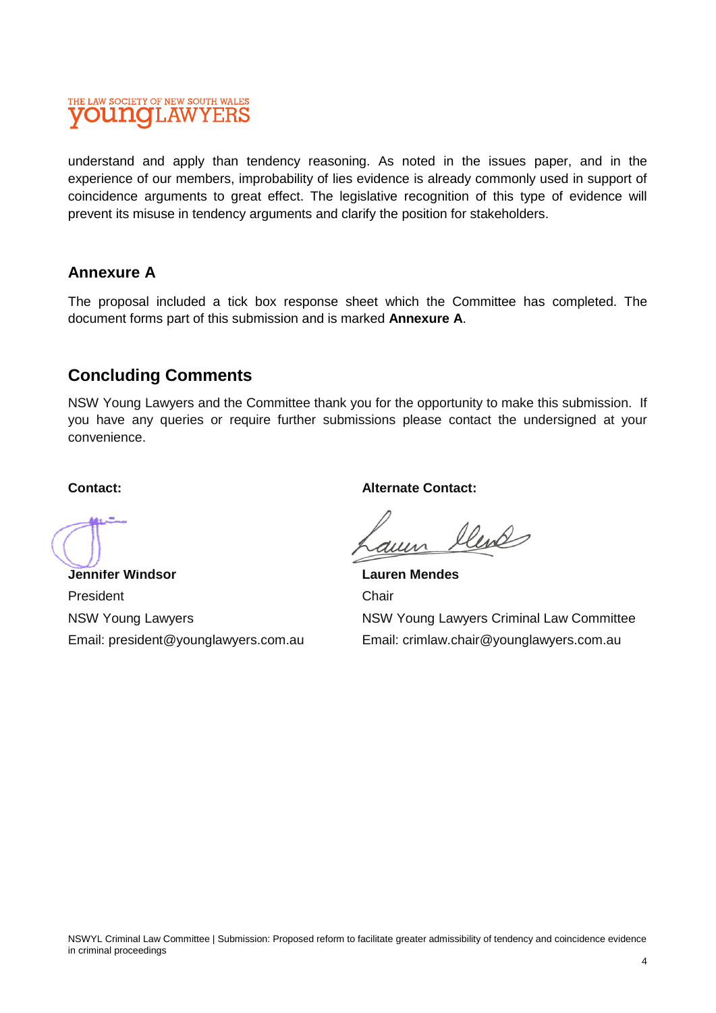### THE LAW SOCIETY OF NEW SOUTH WALES **INOLAWYEF**

understand and apply than tendency reasoning. As noted in the issues paper, and in the experience of our members, improbability of lies evidence is already commonly used in support of coincidence arguments to great effect. The legislative recognition of this type of evidence will prevent its misuse in tendency arguments and clarify the position for stakeholders.

#### **Annexure A**

The proposal included a tick box response sheet which the Committee has completed. The document forms part of this submission and is marked **Annexure A**.

## **Concluding Comments**

NSW Young Lawyers and the Committee thank you for the opportunity to make this submission. If you have any queries or require further submissions please contact the undersigned at your convenience.

#### **Contact:**

**Jennifer Windsor**  President NSW Young Lawyers Email: president@younglawyers.com.au **Alternate Contact:** 

llends

**Lauren Mendes**  Chair NSW Young Lawyers Criminal Law Committee Email: crimlaw.chair@younglawyers.com.au